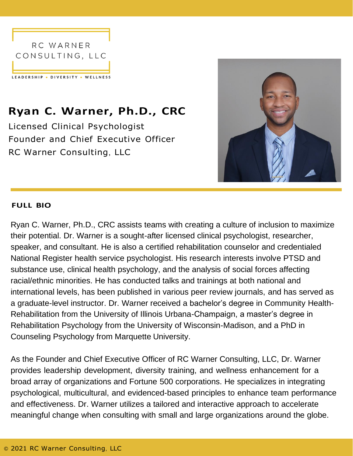

## **Ryan C. Warner, Ph.D., CRC**

Licensed Clinical Psychologist Founder and Chief Executive Officer RC Warner Consulting, LLC



## **FULL BIO**

Ryan C. Warner, Ph.D., CRC assists teams with creating a culture of inclusion to maximize their potential. Dr. Warner is a sought-after licensed clinical psychologist, researcher, speaker, and consultant. He is also a certified rehabilitation counselor and credentialed National Register health service psychologist. His research interests involve PTSD and substance use, clinical health psychology, and the analysis of social forces affecting racial/ethnic minorities. He has conducted talks and trainings at both national and international levels, has been published in various peer review journals, and has served as a graduate-level instructor. Dr. Warner received a bachelor's degree in Community Health-Rehabilitation from the University of Illinois Urbana-Champaign, a master's degree in Rehabilitation Psychology from the University of Wisconsin-Madison, and a PhD in Counseling Psychology from Marquette University.

As the Founder and Chief Executive Officer of RC Warner Consulting, LLC, Dr. Warner provides leadership development, diversity training, and wellness enhancement for a broad array of organizations and Fortune 500 corporations. He specializes in integrating psychological, multicultural, and evidenced-based principles to enhance team performance and effectiveness. Dr. Warner utilizes a tailored and interactive approach to accelerate meaningful change when consulting with small and large organizations around the globe.